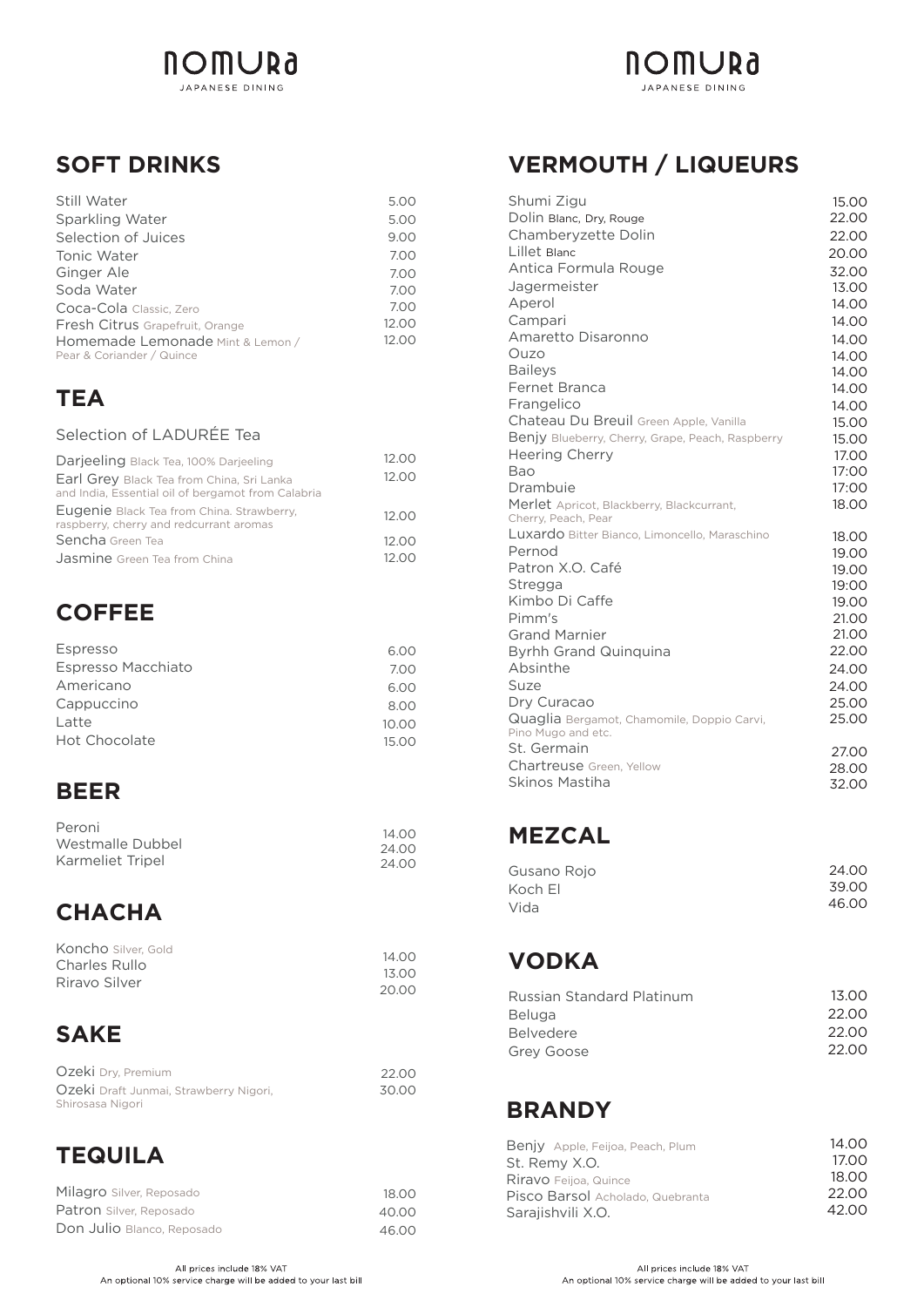

### **SOFT DRINKS**

| Still Water                      | 5.00  |
|----------------------------------|-------|
| Sparkling Water                  | 5.00  |
| Selection of Juices              | 9.00  |
| Tonic Water                      | 7.00  |
| Ginger Ale                       | 7.00  |
| Soda Water                       | 7.00  |
| Coca-Cola Classic, Zero          | 7.00  |
| Fresh Citrus Grapefruit, Orange  | 12.00 |
| Homemade Lemonade Mint & Lemon / | 12.00 |
| Pear & Coriander / Quince        |       |

#### **TEA**

#### Selection of LADURÉE Tea

| Darjeeling Black Tea, 100% Darjeeling                                                           | 12.00 |
|-------------------------------------------------------------------------------------------------|-------|
| Earl Grey Black Tea from China, Sri Lanka<br>and India, Essential oil of bergamot from Calabria | 12.00 |
| Eugenie Black Tea from China. Strawberry,<br>raspberry, cherry and redcurrant aromas            | 12.00 |
| Sencha Green Tea                                                                                | 12.00 |
| <b>Jasmine</b> Green Tea from China                                                             | 12.00 |

#### **COFFEE**

| Espresso           | 6.00  |
|--------------------|-------|
| Espresso Macchiato | 7.00  |
| Americano          | 6.00  |
| Cappuccino         | 8.00  |
| Latte              | 10.00 |
| Hot Chocolate      | 15.00 |

#### **BEER**

| Peroni           | 14.00 |
|------------------|-------|
| Westmalle Dubbel | 24.00 |
| Karmeliet Tripel | 24.00 |

## **CHACHA**

| Koncho Silver, Gold | 14.00 |
|---------------------|-------|
| Charles Rullo       | 13.00 |
| Riravo Silver       |       |
|                     | 20.00 |

## **SAKE**

| Ozeki Dry, Premium                     | 22.00 |
|----------------------------------------|-------|
| Ozeki Draft Junmai, Strawberry Nigori, | 30.00 |
| Shirosasa Nigori                       |       |

## **TEQUILA**

| Milagro Silver, Reposado   | 18.00 |
|----------------------------|-------|
| Patron Silver, Reposado    | 40.00 |
| Don Julio Blanco, Reposado | 46.00 |

## **VERMOUTH / LIQUEURS**

**NOMURa** JAPANESE DINING

| Shumi Zigu                                       | 15.00          |
|--------------------------------------------------|----------------|
| Dolin Blanc, Dry, Rouge                          | 22.00          |
| Chamberyzette Dolin                              | 22.00          |
| Lillet Blanc                                     | 20.00          |
| Antica Formula Rouge                             | 32.00          |
| Jagermeister                                     | 13.00          |
| Aperol                                           | 14.00          |
| Campari                                          | 14.00          |
| Amaretto Disaronno                               | 14.00          |
| Ouzo                                             | 14.00          |
| <b>Baileys</b>                                   | 14.00          |
| Fernet Branca                                    | 14.00          |
| Frangelico                                       | 14.00          |
| Chateau Du Breuil Green Apple, Vanilla           | 15.00          |
| Benjy Blueberry, Cherry, Grape, Peach, Raspberry | 15.00          |
| <b>Heering Cherry</b>                            | 17.00          |
| Bao                                              | 17:00          |
| Drambuie                                         | 17:00          |
| Merlet Apricot, Blackberry, Blackcurrant,        | 18.00          |
| Cherry, Peach, Pear                              |                |
| Luxardo Bitter Bianco, Limoncello, Maraschino    | 18.00          |
| Pernod                                           | 19.00          |
| Patron X.O. Café                                 | 19.00          |
| Stregga<br>Kimbo Di Caffe                        | 19:00          |
| Pimm's                                           | 19.00          |
| <b>Grand Marnier</b>                             | 21.00<br>21.00 |
|                                                  | 22.00          |
| <b>Byrhh Grand Quinquina</b><br>Absinthe         | 24.00          |
| Suze                                             | 24.00          |
| Dry Curacao                                      | 25.00          |
| Quaglia Bergamot, Chamomile, Doppio Carvi,       | 25.00          |
| Pino Mugo and etc.                               |                |
| St. Germain                                      | 27.00          |
| Chartreuse Green, Yellow                         | 28.00          |
| Skinos Mastiha                                   | 32.00          |

#### **MEZCAL**

| 24.00 |
|-------|
| 39.00 |
| 46.00 |
|       |

# **VODKA**

| Russian Standard Platinum | 13.00 |
|---------------------------|-------|
| <b>Beluga</b>             | 22.00 |
| <b>Belvedere</b>          | 22.00 |
| Grey Goose                | 22.00 |
|                           |       |

#### **BRANDY**

| Benjy Apple, Feijoa, Peach, Plum | 14.00 |
|----------------------------------|-------|
| St. Remy X.O.                    | 17.00 |
| Riravo Feijoa, Quince            | 18.00 |
| Pisco Barsol Acholado, Quebranta | 22.00 |
| Sarajishvili X.O.                | 42.00 |